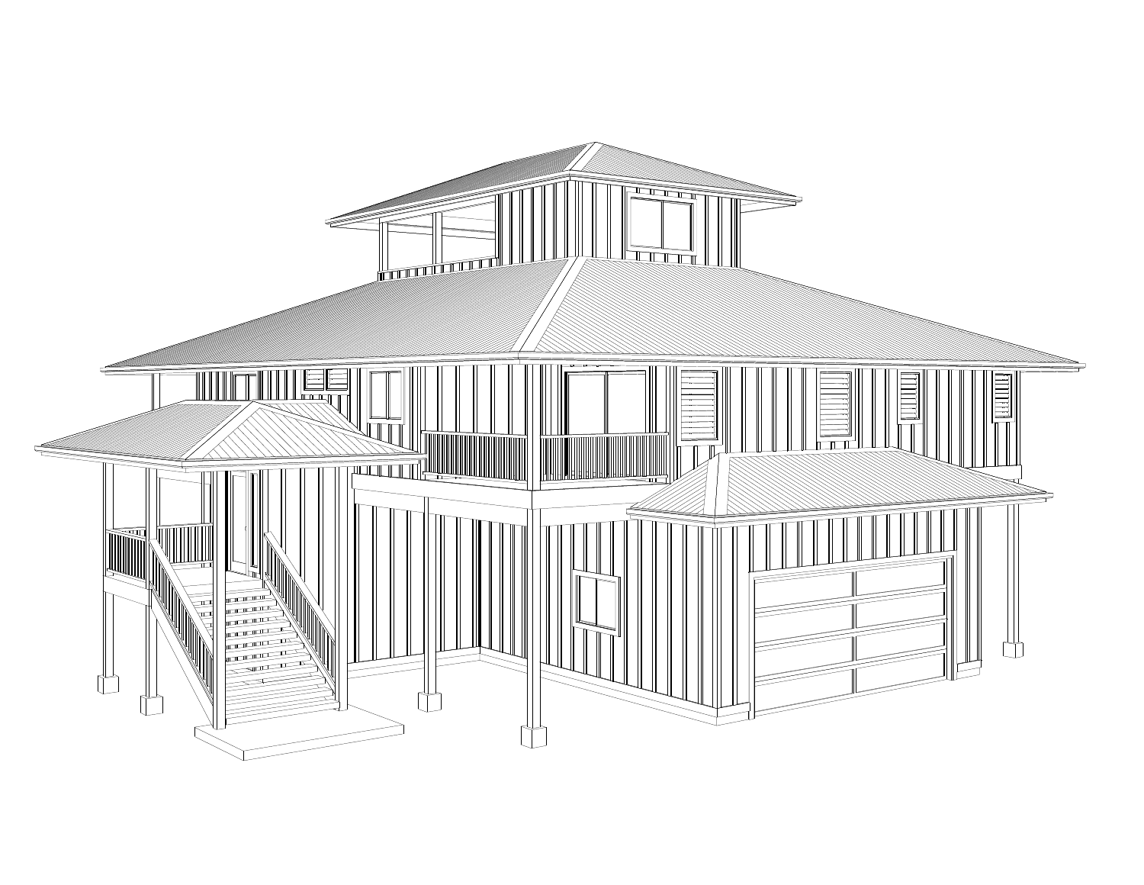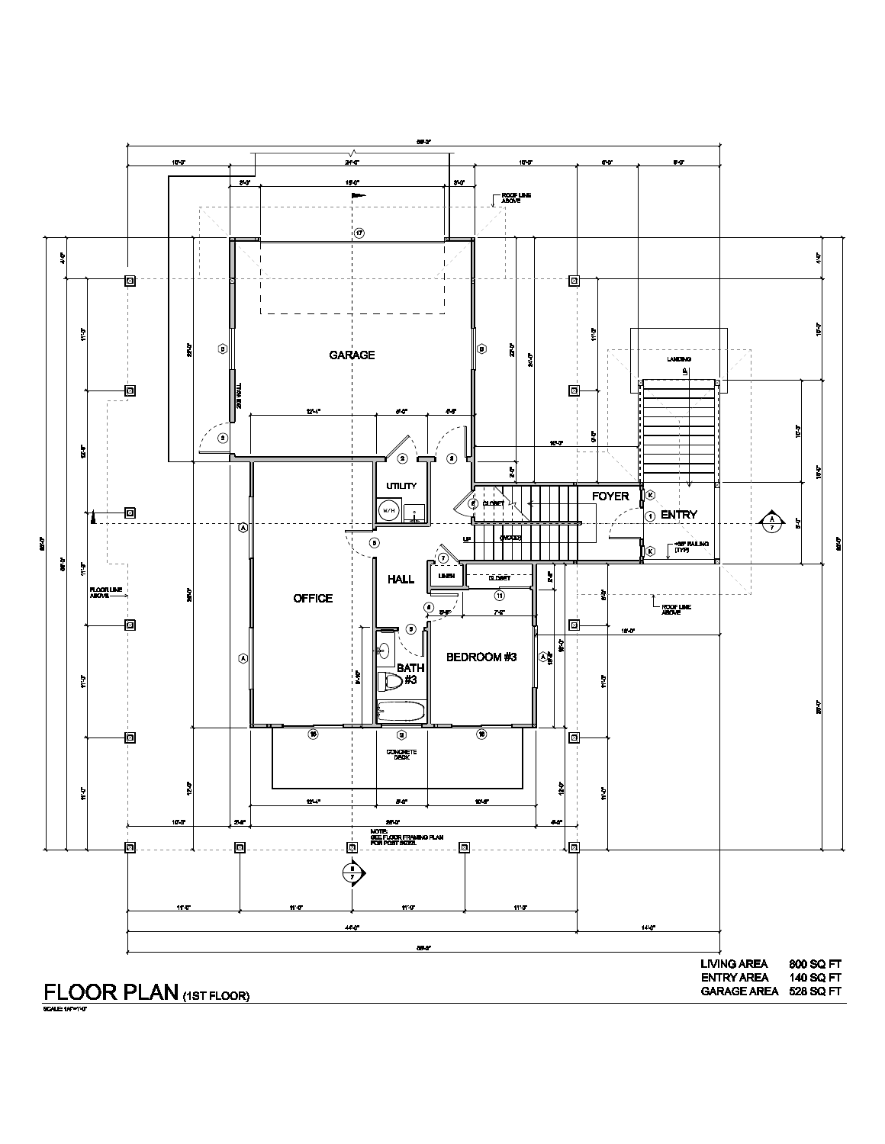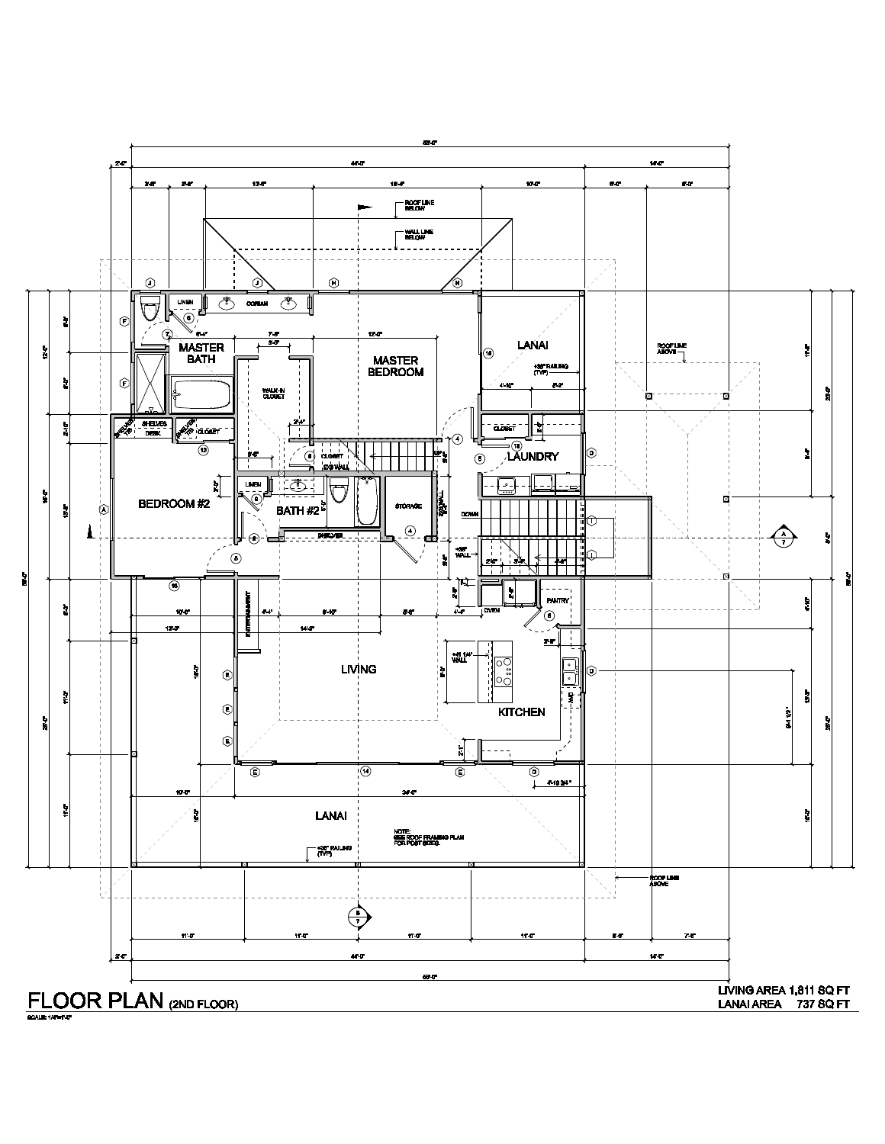